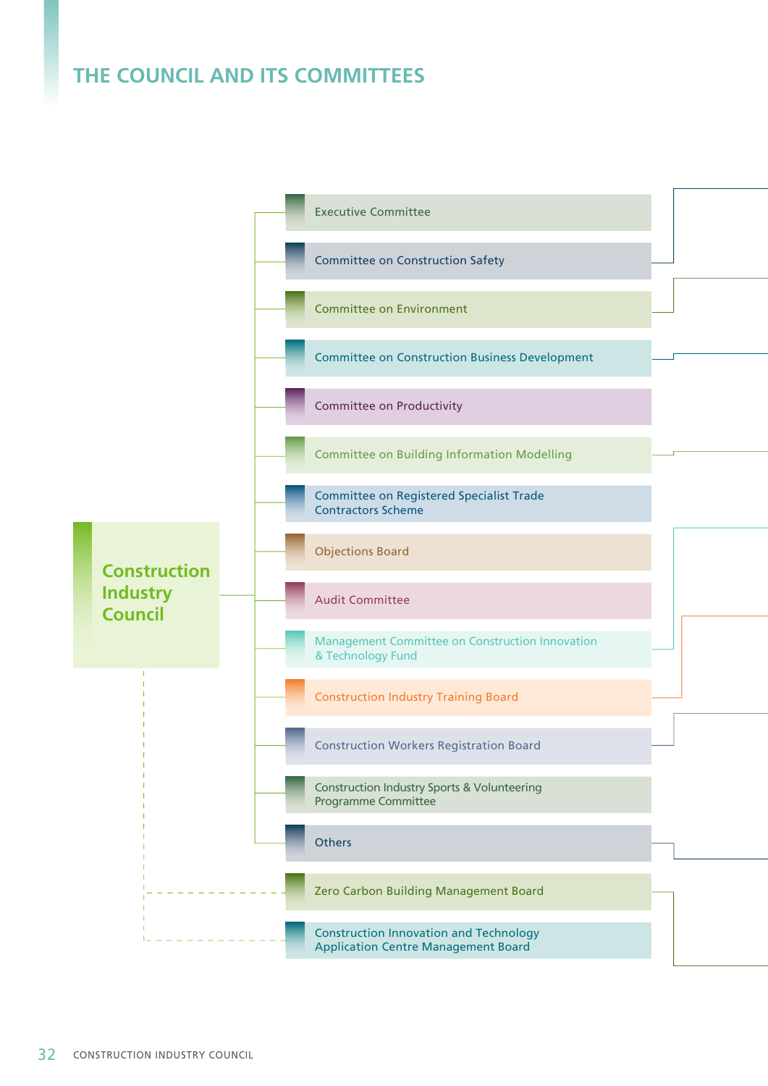## **THE COUNCIL AND ITS COMMITTEES**